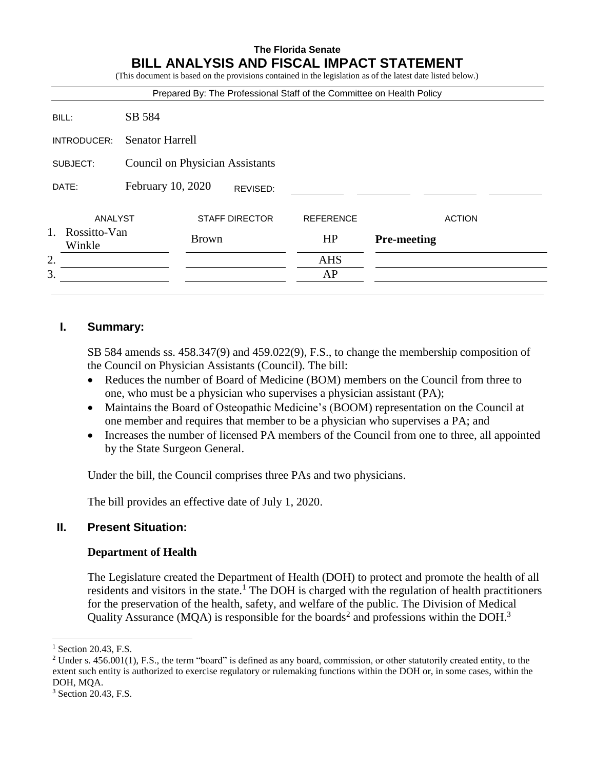#### **The Florida Senate BILL ANALYSIS AND FISCAL IMPACT STATEMENT** (This document is donot in the provisions contained in the legislation as of the latest date listed below.)

|                              |                                        |                       |  |                                                                       | (This document is based on the provisions contained in the registation as of the fatest date fisted below.) |               |
|------------------------------|----------------------------------------|-----------------------|--|-----------------------------------------------------------------------|-------------------------------------------------------------------------------------------------------------|---------------|
|                              |                                        |                       |  | Prepared By: The Professional Staff of the Committee on Health Policy |                                                                                                             |               |
| BILL:                        | SB 584                                 |                       |  |                                                                       |                                                                                                             |               |
| INTRODUCER:                  | <b>Senator Harrell</b>                 |                       |  |                                                                       |                                                                                                             |               |
| SUBJECT:                     | <b>Council on Physician Assistants</b> |                       |  |                                                                       |                                                                                                             |               |
| DATE:                        | February 10, 2020<br>REVISED:          |                       |  |                                                                       |                                                                                                             |               |
| ANALYST                      |                                        | <b>STAFF DIRECTOR</b> |  | <b>REFERENCE</b>                                                      |                                                                                                             | <b>ACTION</b> |
| 1.<br>Rossitto-Van<br>Winkle |                                        | <b>Brown</b>          |  | HP                                                                    | <b>Pre-meeting</b>                                                                                          |               |
| 2.                           |                                        |                       |  | <b>AHS</b>                                                            |                                                                                                             |               |
| 3.                           |                                        |                       |  | AP                                                                    |                                                                                                             |               |
|                              |                                        |                       |  |                                                                       |                                                                                                             |               |

# **I. Summary:**

SB 584 amends ss. 458.347(9) and 459.022(9), F.S., to change the membership composition of the Council on Physician Assistants (Council). The bill:

- Reduces the number of Board of Medicine (BOM) members on the Council from three to one, who must be a physician who supervises a physician assistant (PA);
- Maintains the Board of Osteopathic Medicine's (BOOM) representation on the Council at one member and requires that member to be a physician who supervises a PA; and
- Increases the number of licensed PA members of the Council from one to three, all appointed by the State Surgeon General.

Under the bill, the Council comprises three PAs and two physicians.

The bill provides an effective date of July 1, 2020.

# **II. Present Situation:**

# **Department of Health**

The Legislature created the Department of Health (DOH) to protect and promote the health of all residents and visitors in the state.<sup>1</sup> The DOH is charged with the regulation of health practitioners for the preservation of the health, safety, and welfare of the public. The Division of Medical Quality Assurance (MQA) is responsible for the boards<sup>2</sup> and professions within the DOH.<sup>3</sup>

 $\overline{a}$ 

 $<sup>1</sup>$  Section 20.43, F.S.</sup>

<sup>&</sup>lt;sup>2</sup> Under s.  $456.001(1)$ , F.S., the term "board" is defined as any board, commission, or other statutorily created entity, to the extent such entity is authorized to exercise regulatory or rulemaking functions within the DOH or, in some cases, within the DOH, MQA.

<sup>3</sup> Section 20.43, F.S.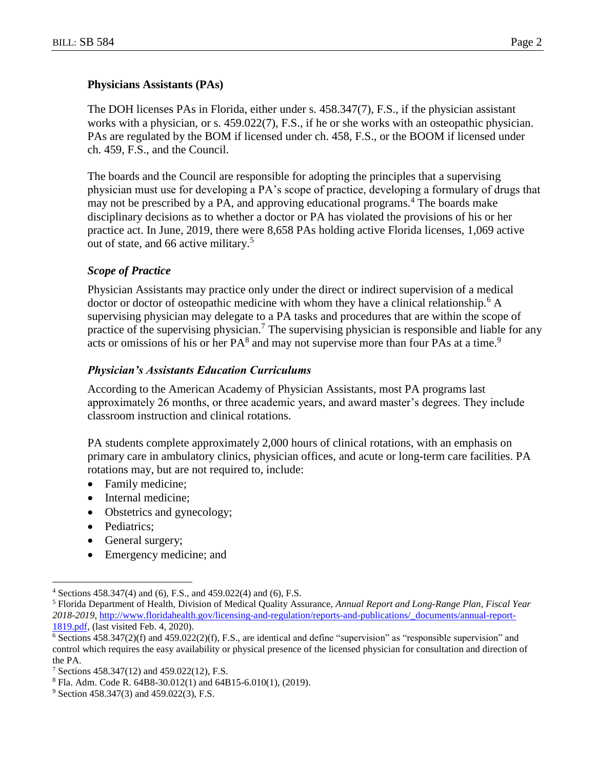#### **Physicians Assistants (PAs)**

The DOH licenses PAs in Florida, either under s. 458.347(7), F.S., if the physician assistant works with a physician, or s. 459.022(7), F.S., if he or she works with an osteopathic physician. PAs are regulated by the BOM if licensed under ch. 458, F.S., or the BOOM if licensed under ch. 459, F.S., and the Council.

The boards and the Council are responsible for adopting the principles that a supervising physician must use for developing a PA's scope of practice, developing a formulary of drugs that may not be prescribed by a PA, and approving educational programs.<sup>4</sup> The boards make disciplinary decisions as to whether a doctor or PA has violated the provisions of his or her practice act. In June, 2019, there were 8,658 PAs holding active Florida licenses, 1,069 active out of state, and 66 active military.<sup>5</sup>

#### *Scope of Practice*

Physician Assistants may practice only under the direct or indirect supervision of a medical doctor or doctor of osteopathic medicine with whom they have a clinical relationship.<sup>6</sup> A supervising physician may delegate to a PA tasks and procedures that are within the scope of practice of the supervising physician.<sup>7</sup> The supervising physician is responsible and liable for any acts or omissions of his or her  $PA^8$  and may not supervise more than four PAs at a time.<sup>9</sup>

#### *Physician's Assistants Education Curriculums*

According to the American Academy of Physician Assistants, most PA programs last approximately 26 months, or three academic years, and award master's degrees. They include classroom instruction and clinical rotations.

PA students complete approximately 2,000 hours of clinical rotations, with an emphasis on primary care in ambulatory clinics, physician offices, and acute or long-term care facilities. PA rotations may, but are not required to, include:

- Family medicine;
- Internal medicine;
- Obstetrics and gynecology;
- Pediatrics;

 $\overline{a}$ 

- General surgery;
- Emergency medicine; and

<sup>4</sup> Sections 458.347(4) and (6), F.S., and 459.022(4) and (6), F.S.

<sup>5</sup> Florida Department of Health, Division of Medical Quality Assurance, *Annual Report and Long-Range Plan, Fiscal Year 2018-2019*, [http://www.floridahealth.gov/licensing-and-regulation/reports-and-publications/\\_documents/annual-report-](http://www.floridahealth.gov/licensing-and-regulation/reports-and-publications/_documents/annual-report-1819.pdf)[1819.pdf,](http://www.floridahealth.gov/licensing-and-regulation/reports-and-publications/_documents/annual-report-1819.pdf) (last visited Feb. 4, 2020).

 $6$  Sections 458.347(2)(f) and 459.022(2)(f), F.S., are identical and define "supervision" as "responsible supervision" and control which requires the easy availability or physical presence of the licensed physician for consultation and direction of the PA.

<sup>&</sup>lt;sup>7</sup> Sections 458.347(12) and 459.022(12), F.S.

<sup>8</sup> Fla. Adm. Code R. 64B8-30.012(1) and 64B15-6.010(1), (2019).

<sup>&</sup>lt;sup>9</sup> Section 458.347(3) and 459.022(3), F.S.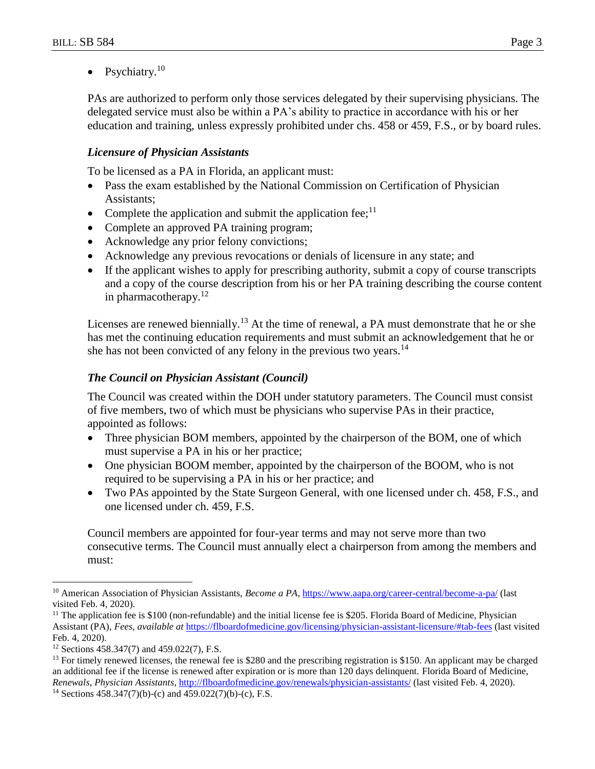• Psychiatry. $10$ 

PAs are authorized to perform only those services delegated by their supervising physicians. The delegated service must also be within a PA's ability to practice in accordance with his or her education and training, unless expressly prohibited under chs. 458 or 459, F.S., or by board rules.

# *Licensure of Physician Assistants*

To be licensed as a PA in Florida, an applicant must:

- Pass the exam established by the National Commission on Certification of Physician Assistants;
- Complete the application and submit the application fee;<sup>11</sup>
- Complete an approved PA training program;
- Acknowledge any prior felony convictions;
- Acknowledge any previous revocations or denials of licensure in any state; and
- If the applicant wishes to apply for prescribing authority, submit a copy of course transcripts and a copy of the course description from his or her PA training describing the course content in pharmacotherapy. $12$

Licenses are renewed biennially.<sup>13</sup> At the time of renewal, a PA must demonstrate that he or she has met the continuing education requirements and must submit an acknowledgement that he or she has not been convicted of any felony in the previous two years.<sup>14</sup>

#### *The Council on Physician Assistant (Council)*

The Council was created within the DOH under statutory parameters. The Council must consist of five members, two of which must be physicians who supervise PAs in their practice, appointed as follows:

- Three physician BOM members, appointed by the chairperson of the BOM, one of which must supervise a PA in his or her practice;
- One physician BOOM member, appointed by the chairperson of the BOOM, who is not required to be supervising a PA in his or her practice; and
- Two PAs appointed by the State Surgeon General, with one licensed under ch. 458, F.S., and one licensed under ch. 459, F.S.

Council members are appointed for four-year terms and may not serve more than two consecutive terms. The Council must annually elect a chairperson from among the members and must:

 $\overline{a}$ 

<sup>&</sup>lt;sup>10</sup> American Association of Physician Assistants, *Become a PA*, <https://www.aapa.org/career-central/become-a-pa/> (last visited Feb. 4, 2020).

 $<sup>11</sup>$  The application fee is \$100 (non-refundable) and the initial license fee is \$205. Florida Board of Medicine, Physician</sup> Assistant (PA), *Fees, available at* <https://flboardofmedicine.gov/licensing/physician-assistant-licensure/#tab-fees> (last visited Feb. 4, 2020).

<sup>12</sup> Sections 458.347(7) and 459.022(7), F.S.

<sup>&</sup>lt;sup>13</sup> For timely renewed licenses, the renewal fee is \$280 and the prescribing registration is \$150. An applicant may be charged an additional fee if the license is renewed after expiration or is more than 120 days delinquent. Florida Board of Medicine, *Renewals, Physician Assistants*, <http://flboardofmedicine.gov/renewals/physician-assistants/> (last visited Feb. 4, 2020).

<sup>14</sup> Sections 458.347(7)(b)-(c) and 459.022(7)(b)-(c), F.S.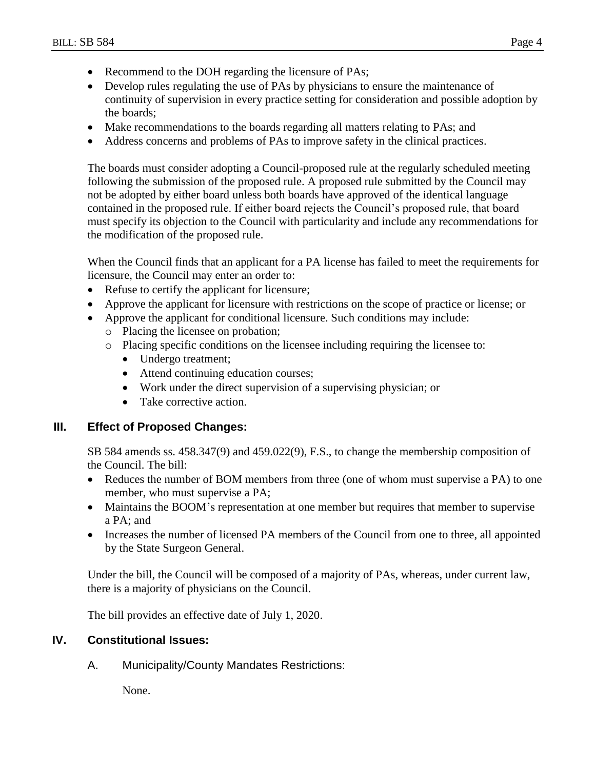- Recommend to the DOH regarding the licensure of PAs;
- Develop rules regulating the use of PAs by physicians to ensure the maintenance of continuity of supervision in every practice setting for consideration and possible adoption by the boards;
- Make recommendations to the boards regarding all matters relating to PAs; and
- Address concerns and problems of PAs to improve safety in the clinical practices.

The boards must consider adopting a Council-proposed rule at the regularly scheduled meeting following the submission of the proposed rule. A proposed rule submitted by the Council may not be adopted by either board unless both boards have approved of the identical language contained in the proposed rule. If either board rejects the Council's proposed rule, that board must specify its objection to the Council with particularity and include any recommendations for the modification of the proposed rule.

When the Council finds that an applicant for a PA license has failed to meet the requirements for licensure, the Council may enter an order to:

- Refuse to certify the applicant for licensure;
- Approve the applicant for licensure with restrictions on the scope of practice or license; or
- Approve the applicant for conditional licensure. Such conditions may include:
	- o Placing the licensee on probation;
	- o Placing specific conditions on the licensee including requiring the licensee to:
		- Undergo treatment:
		- Attend continuing education courses;
		- Work under the direct supervision of a supervising physician; or
		- Take corrective action.

# **III. Effect of Proposed Changes:**

SB 584 amends ss. 458.347(9) and 459.022(9), F.S., to change the membership composition of the Council. The bill:

- Reduces the number of BOM members from three (one of whom must supervise a PA) to one member, who must supervise a PA;
- Maintains the BOOM's representation at one member but requires that member to supervise a PA; and
- Increases the number of licensed PA members of the Council from one to three, all appointed by the State Surgeon General.

Under the bill, the Council will be composed of a majority of PAs, whereas, under current law, there is a majority of physicians on the Council.

The bill provides an effective date of July 1, 2020.

# **IV. Constitutional Issues:**

A. Municipality/County Mandates Restrictions:

None.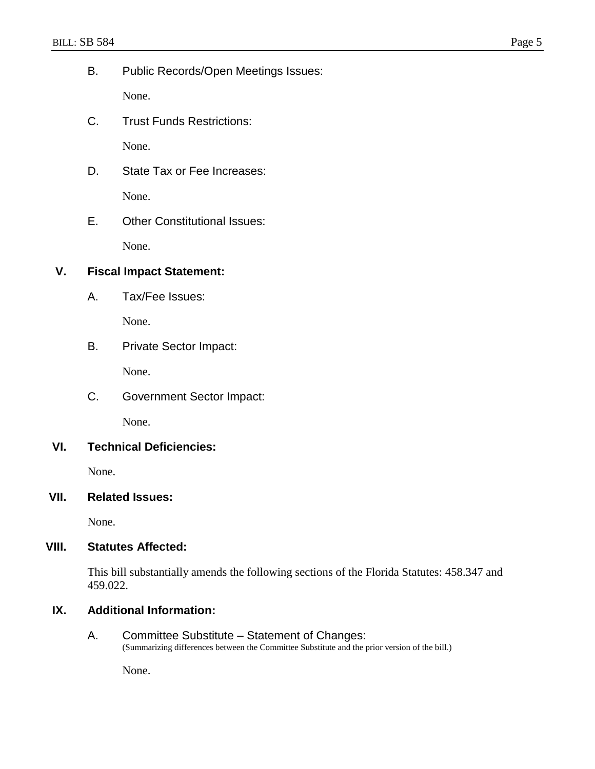B. Public Records/Open Meetings Issues:

None.

C. Trust Funds Restrictions:

None.

- D. State Tax or Fee Increases: None.
- E. Other Constitutional Issues:

None.

# **V. Fiscal Impact Statement:**

A. Tax/Fee Issues:

None.

B. Private Sector Impact:

None.

C. Government Sector Impact:

None.

# **VI. Technical Deficiencies:**

None.

# **VII. Related Issues:**

None.

# **VIII. Statutes Affected:**

This bill substantially amends the following sections of the Florida Statutes: 458.347 and 459.022.

# **IX. Additional Information:**

A. Committee Substitute – Statement of Changes: (Summarizing differences between the Committee Substitute and the prior version of the bill.)

None.